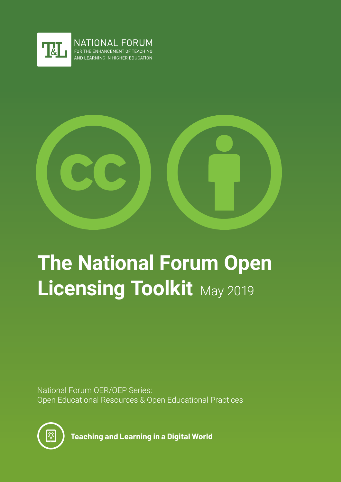



# **The National Forum Open Licensing Toolkit** May 2019

National Forum OER/OEP Series: Open Educational Resources & Open Educational Practices



**Teaching and Learning in a Digital World**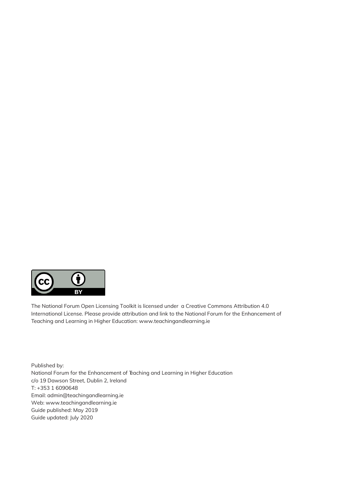

The National Forum Open Licensing Toolkit is licensed under a Creative Commons Attribution 4.0 International License. Please provide attribution and link to the National Forum for the Enhancement of Teaching and Learning in Higher Education: www.teachingandlearning.ie

Published by: National Forum for the Enhancement of Teaching and Learning in Higher Education c/o 19 Dawson Street, Dublin 2, Ireland T: +353 1 6090648 Email: admin@teachingandlearning.ie Web: www.teachingandlearning.ie Guide published: May 2019 Guide updated: July 2020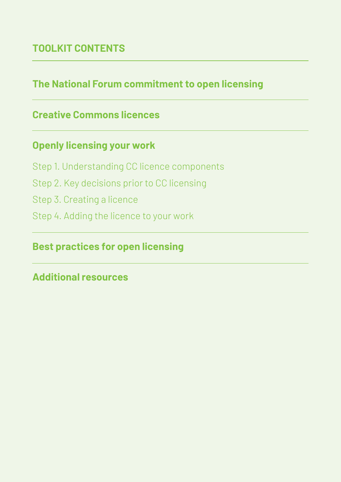# **TOOLKIT CONTENTS**

# **The National Forum commitment to open licensing**

# **Creative Commons licences**

## **Openly licensing your work**

- Step 1. Understanding CC licence components Step 2. Key decisions prior to CC licensing
- Step 3. Creating a licence
- Step 4. Adding the licence to your work

### **Best practices for open licensing**

### **Additional resources**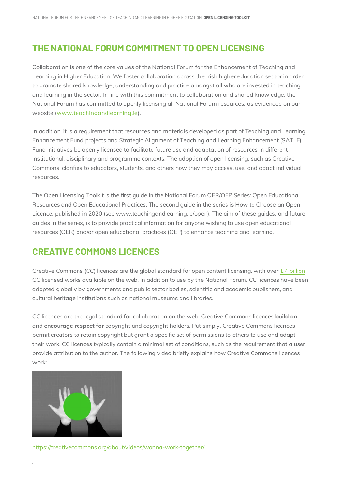### **THE NATIONAL FORUM COMMITMENT TO OPEN LICENSING**

Collaboration is one of the core values of the National Forum for the Enhancement of Teaching and Learning in Higher Education. We foster collaboration across the Irish higher education sector in order to promote shared knowledge, understanding and practice amongst all who are invested in teaching and learning in the sector. In line with this commitment to collaboration and shared knowledge, the National Forum has committed to openly licensing all National Forum resources, as evidenced on our website (www.teachingandlearning.ie).

In addition, it is a requirement that resources and materials developed as part of Teaching and Learning Enhancement Fund projects and Strategic Alignment of Teaching and Learning Enhancement (SATLE) Fund initiatives be openly licensed to facilitate future use and adaptation of resources in different institutional, disciplinary and programme contexts. The adoption of open licensing, such as Creative Commons, clarifies to educators, students, and others how they may access, use, and adapt individual resources.

The Open Licensing Toolkit is the first guide in the National Forum OER/OEP Series: Open Educational Resources and Open Educational Practices. The second guide in the series is How to Choose an Open Licence, published in 2020 (see www.teachingandlearning.ie/open). The aim of these guides, and future guides in the series, is to provide practical information for anyone wishing to use open educational resources (OER) and/or open educational practices (OEP) to enhance teaching and learning.

### **CREATIVE COMMONS LICENCES**

Creative Commons (CC) licences are the global standard for open content licensing, with over 1.4 billion CC licensed works available on the web. In addition to use by the National Forum, CC licences have been adopted globally by governments and public sector bodies, scientific and academic publishers, and cultural heritage institutions such as national museums and libraries.

CC licences are the legal standard for collaboration on the web. Creative Commons licences **build on**  and **encourage respect for** copyright and copyright holders. Put simply, Creative Commons licences permit creators to retain copyright but grant a specific set of permissions to others to use and adapt their work. CC licences typically contain a minimal set of conditions, such as the requirement that a user provide attribution to the author. The following video briefly explains how Creative Commons licences work:



https://creativecommons.org/about/videos/wanna-work-together/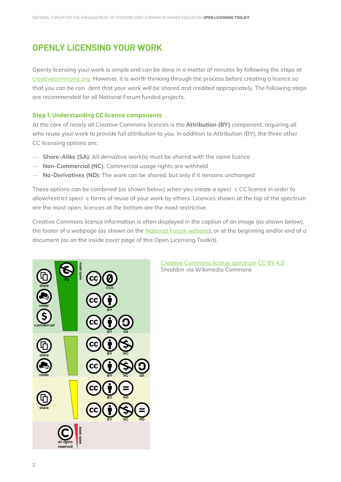### **OPENLY LICENSING YOUR WORK**

Openly licensing your work is simple and can be done in a matter of minutes by following the steps at creativecommons.org. However, it is worth thinking through the process before creating a licence so that you can be con dent that your work will be shared and credited appropriately. The following steps are recommended for all National Forum funded projects.

#### **Step 1. Understanding CC licence components**

At the core of nearly all Creative Commons licences is the **Attribution (BY)** component, requiring all who reuse your work to provide full attribution to you. In addition to Attribution (BY), the three other CC licensing options are:

- **Share-Alike (SA)**: All derivative work(s) must be shared with the same licence
- **Non-Commercial (NC)**: Commercial usage rights are withheld
- **No-Derivatives (ND)**: The work can be shared, but only if it remains unchanged

These options can be combined (as shown below) when you create a speci c CC licence in order to allow/restrict speci c forms of reuse of your work by others. Licences shown at the top of the spectrum are the most open; licences at the bottom are the most restrictive.

Creative Commons licence information is often displayed in the caption of an image (as shown below), the footer of a webpage (as shown on the National Forum website), or at the beginning and/or end of a document (as on the inside cover page of this Open Licensing Toolkit).



Creative Commons license spectrum CC BY 4.0 Shaddim via Wikimedia Commons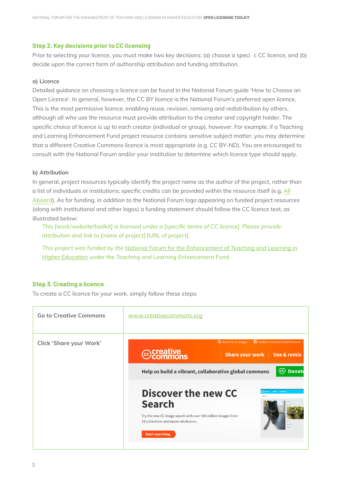#### **Step 2. Key decisions prior to CC licensing**

Prior to selecting your licence, you must make two key decisions: (a) choose a speci c CC licence, and (b) decide upon the correct form of authorship attribution and funding attribution.

#### **a) Licence**

Detailed guidance on choosing a licence can be found in the National Forum guide 'How to Choose an Open Licence'. In general, however, the CC BY licence is the National Forum's preferred open licence. This is the most permissive licence, enabling reuse, revision, remixing and redistribution by others, although all who use the resource must provide attribution to the creator and copyright holder. The specific choice of licence is up to each creator (individual or group), however. For example, if a Teaching and Learning Enhancement Fund project resource contains sensitive subject matter, you may determine that a different Creative Commons licence is most appropriate (e.g. CC BY-ND). You are encouraged to consult with the National Forum and/or your institution to determine which licence type should apply.

#### **b) Attribution**

In general, project resources typically identify the project name as the author of the project, rather than a list of individuals or institutions; specific credits can be provided within the resource itself (e.g. All Aboard). As for funding, in addition to the National Forum logo appearing on funded project resources (along with institutional and other logos) a funding statement should follow the CC licence text, as illustrated below:

*This [work/website/toolkit] is licensed under a [specifc terms of CC licence]. Please provide attribution and link to [name of project] [URL of project].*

*This project was funded by the National Forum for the Enhancement of Teaching and Learning in Higher Education under the Teaching and Learning Enhancement Fund.*

#### **Step 3. Creating a licence**

To create a CC licence for your work, simply follow these steps:

| <b>Go to Creative Commons</b>  | www.creativecommons.org                                                                                                                                                                                                                                                                                                                                                                                                                  |
|--------------------------------|------------------------------------------------------------------------------------------------------------------------------------------------------------------------------------------------------------------------------------------------------------------------------------------------------------------------------------------------------------------------------------------------------------------------------------------|
| <b>Click 'Share your Work'</b> | Creative Commons Global Network<br>Q Search for CC images  <br><b>@</b> Creative<br><b>Share your work</b><br>Use & remix<br>(cc)<br><b>Donate</b><br>Help us build a vibrant, collaborative global commons<br>Discover the new CC<br>$\widehat{\mathbf{x}}$ Search About Feedback<br><b>Search</b><br>Try the new CC image search with over 300 million images from<br>19 collections and easier attribution.<br><b>Start searching</b> |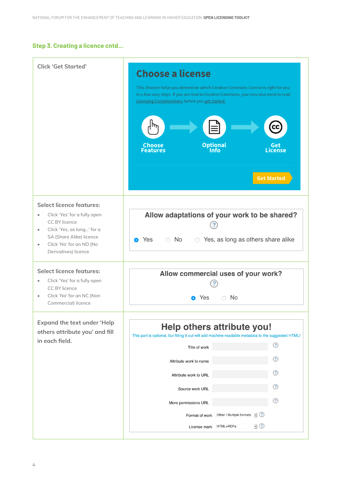#### **Step 3. Creating a licence cntd...**

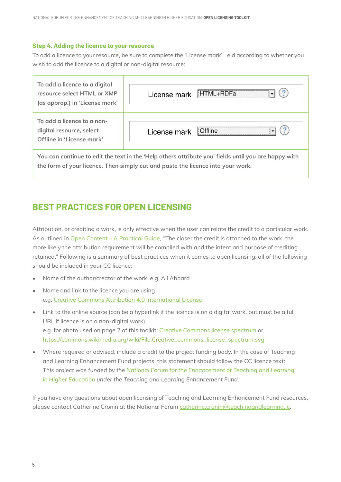#### **Step 4. Adding the licence to your resource**

To add a licence to your resource, be sure to complete the 'License mark' eld according to whether you wish to add the licence to a digital or non-digital resource:

| To add a licence to a digital<br>resource select HTML or XMP<br>(as approp.) in 'License mark'                                                                                          | HTML+RDFa<br>License mark      |
|-----------------------------------------------------------------------------------------------------------------------------------------------------------------------------------------|--------------------------------|
| To add a licence to a non-<br>digital resource, select<br>Offline in 'License mark'                                                                                                     | <b>Offline</b><br>License mark |
| You can continue to edit the text in the 'Help others attribute you' fields until you are happy with<br>the form of your licence. Then simply cut and paste the licence into your work. |                                |

### **BEST PRACTICES FOR OPEN LICENSING**

Attribution, or crediting a work, is only effective when the user can relate the credit to a particular work. As outlined in Open Content – A Practical Guide, "The closer the credit is attached to the work, the more likely the attribution requirement will be complied with and the intent and purpose of crediting retained." Following is a summary of best practices when it comes to open licensing; all of the following should be included in your CC licence:

- Name of the author/creator of the work, e.g. All Aboard
- Name and link to the licence you are using e.g. Creative Commons Attribution 4.0 International License
- Link to the online source (can be a hyperlink if the licence is on a digital work, but must be a full URL if licence is on a non-digital work) e.g. for photo used on page 2 of this toolkit: Creative Commons license spectrum or https://commons.wikimedia.org/wiki/File:Creative\_commons\_license\_spectrum.svg
- Where required or advised, include a credit to the project funding body. In the case of Teaching and Learning Enhancement Fund projects, this statement should follow the CC licence text: *This project was funded by the National Forum for the Enhancement of Teaching and Learning in Higher Education under the Teaching and Learning Enhancement Fund.*

If you have any questions about open licensing of Teaching and Learning Enhancement Fund resources, please contact Catherine Cronin at the National Forum catherine.cronin@teachingandlearning.ie.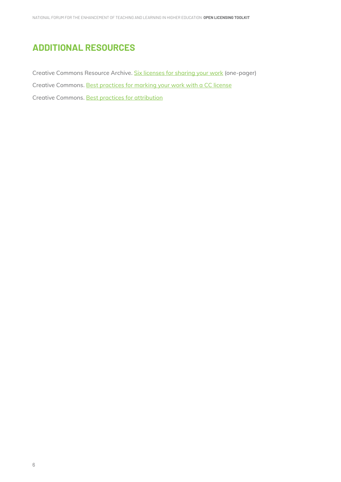# **ADDITIONAL RESOURCES**

Creative Commons Resource Archive. Six licenses for sharing your work (one-pager) Creative Commons. Best practices for marking your work with a CC license Creative Commons. Best practices for attribution